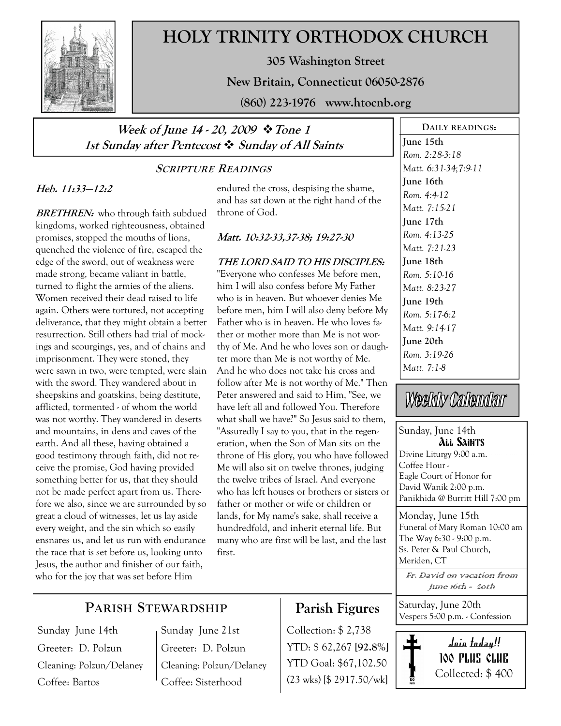

# HOLY TRINITY ORTHODOX CHURCH

305 Washington Street

New Britain, Connecticut 06050-2876

(860) 223-1976 www.htocnb.org

### Week of June 14 - 20, 2009  $\div$  Tone 1 1st Sunday after Pentecost  $\div$  Sunday of All Saints

### SCRIPTURE READINGS

### Heb. 11:33—12:2

**BRETHREN:** who through faith subdued kingdoms, worked righteousness, obtained promises, stopped the mouths of lions, quenched the violence of fire, escaped the edge of the sword, out of weakness were made strong, became valiant in battle, turned to flight the armies of the aliens. Women received their dead raised to life again. Others were tortured, not accepting deliverance, that they might obtain a better resurrection. Still others had trial of mockings and scourgings, yes, and of chains and imprisonment. They were stoned, they were sawn in two, were tempted, were slain with the sword. They wandered about in sheepskins and goatskins, being destitute, afflicted, tormented - of whom the world was not worthy. They wandered in deserts and mountains, in dens and caves of the earth. And all these, having obtained a good testimony through faith, did not receive the promise, God having provided something better for us, that they should not be made perfect apart from us. Therefore we also, since we are surrounded by so great a cloud of witnesses, let us lay aside every weight, and the sin which so easily ensnares us, and let us run with endurance the race that is set before us, looking unto Jesus, the author and finisher of our faith, who for the joy that was set before Him

endured the cross, despising the shame, and has sat down at the right hand of the throne of God.

#### Matt. 10:32-33,37-38; 19:27-30

THE LORD SAID TO HIS DISCIPLES: "Everyone who confesses Me before men, him I will also confess before My Father who is in heaven. But whoever denies Me before men, him I will also deny before My Father who is in heaven. He who loves father or mother more than Me is not worthy of Me. And he who loves son or daughter more than Me is not worthy of Me. And he who does not take his cross and follow after Me is not worthy of Me." Then Peter answered and said to Him, "See, we have left all and followed You. Therefore what shall we have?" So Jesus said to them, "Assuredly I say to you, that in the regeneration, when the Son of Man sits on the throne of His glory, you who have followed Me will also sit on twelve thrones, judging the twelve tribes of Israel. And everyone who has left houses or brothers or sisters or father or mother or wife or children or lands, for My name's sake, shall receive a hundredfold, and inherit eternal life. But many who are first will be last, and the last first.

June 15th Rom. 2:28-3:18 Matt. 6:31-34;7:9-11 June 16th Rom. 4:4-12 Matt. 7:15-21 June 17th Rom. 4:13-25 Matt. 7:21-23 June 18th Rom. 5:10-16 Matt. 8:23-27 June 19th Rom. 5:17-6:2 Matt. 9:14-17 June 20th Rom. 3:19-26 Matt. 7:1-8

DAILY READINGS:

# Weekly Calendar

#### Sunday, June 14th All Saints Divine Liturgy 9:00 a.m. Coffee Hour - Eagle Court of Honor for David Wanik 2:00 p.m. Panikhida @ Burritt Hill 7:00 pm

Monday, June 15th Funeral of Mary Roman 10:00 am The Way 6:30 - 9:00 p.m. Ss. Peter & Paul Church, Meriden, CT

Fr. David on vacation from June 16th - 20th

Saturday, June 20th Vespers 5:00 p.m. - Confession



## PARISH STEWARDSHIP

Sunday June 14th Greeter: D. Polzun Cleaning: Polzun/Delaney Coffee: Bartos

Sunday June 21st Greeter: D. Polzun Cleaning: Polzun/Delaney Coffee: Sisterhood

# Parish Figures

Collection: \$ 2,738 YTD: \$ 62,267 [92.8%] YTD Goal: \$67,102.50 (23 wks) [\$ 2917.50/wk]